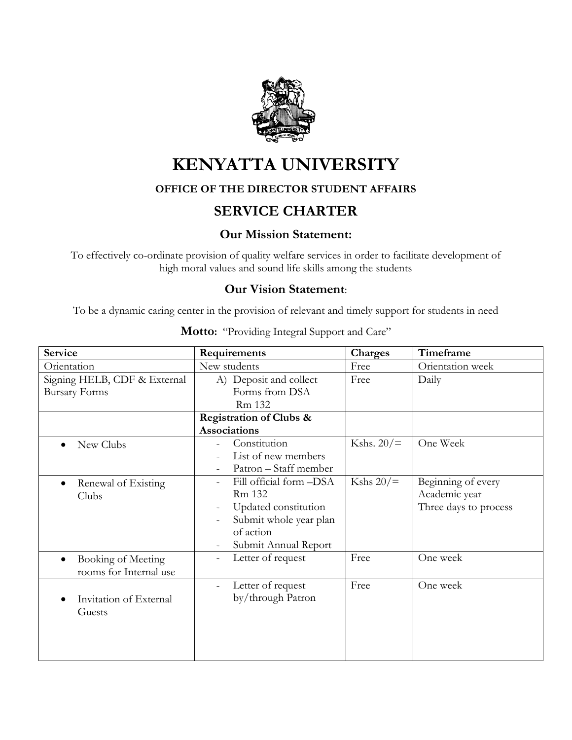

# **KENYATTA UNIVERSITY**

### **OFFICE OF THE DIRECTOR STUDENT AFFAIRS**

## **SERVICE CHARTER**

## **Our Mission Statement:**

To effectively co-ordinate provision of quality welfare services in order to facilitate development of high moral values and sound life skills among the students

#### **Our Vision Statement**:

To be a dynamic caring center in the provision of relevant and timely support for students in need

| Service                                                   | Requirements                                                                                                                                                           | <b>Charges</b> | Timeframe                                                    |
|-----------------------------------------------------------|------------------------------------------------------------------------------------------------------------------------------------------------------------------------|----------------|--------------------------------------------------------------|
| Orientation                                               | New students                                                                                                                                                           | Free           | Orientation week                                             |
| Signing HELB, CDF & External<br><b>Bursary Forms</b>      | A) Deposit and collect<br>Forms from DSA<br>Rm 132                                                                                                                     | Free           | Daily                                                        |
|                                                           | Registration of Clubs &<br><b>Associations</b>                                                                                                                         |                |                                                              |
| New Clubs                                                 | Constitution<br>List of new members<br>Patron - Staff member                                                                                                           | Kshs. $20/$    | One Week                                                     |
| Renewal of Existing<br>$\bullet$<br>Clubs                 | Fill official form -DSA<br>Rm 132<br>Updated constitution<br>$\overline{\phantom{0}}$<br>Submit whole year plan<br>of action<br>Submit Annual Report<br>$\overline{a}$ | Kshs $20/$ =   | Beginning of every<br>Academic year<br>Three days to process |
| Booking of Meeting<br>$\bullet$<br>rooms for Internal use | Letter of request<br>$\overline{\phantom{a}}$                                                                                                                          | Free           | One week                                                     |
| Invitation of External<br>Guests                          | Letter of request<br>$\qquad \qquad -$<br>by/through Patron                                                                                                            | Free           | One week                                                     |

**Motto:** "Providing Integral Support and Care"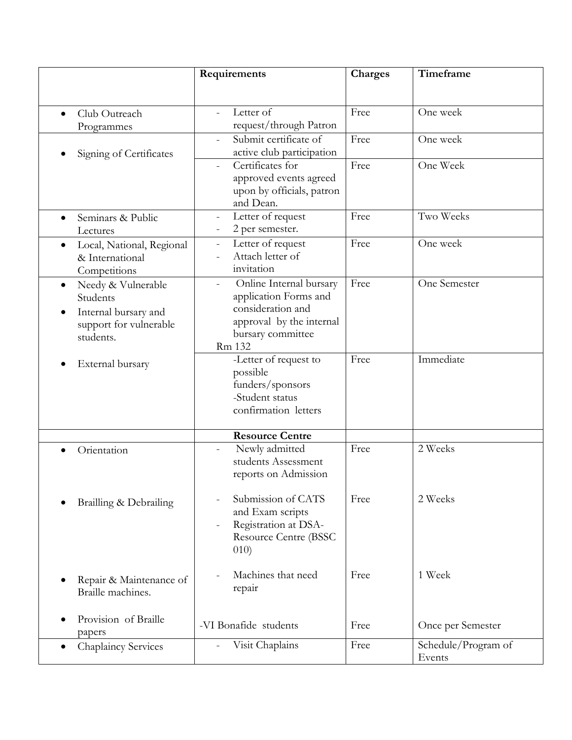|                                                                                                                         | Requirements                                                                                                                                      | Charges | Timeframe                     |
|-------------------------------------------------------------------------------------------------------------------------|---------------------------------------------------------------------------------------------------------------------------------------------------|---------|-------------------------------|
| Club Outreach<br>Programmes                                                                                             | Letter of<br>$\overline{a}$<br>request/through Patron                                                                                             | Free    | One week                      |
| Signing of Certificates                                                                                                 | Submit certificate of<br>active club participation                                                                                                | Free    | One week                      |
|                                                                                                                         | Certificates for<br>approved events agreed<br>upon by officials, patron<br>and Dean.                                                              | Free    | One Week                      |
| Seminars & Public<br>$\bullet$<br>Lectures                                                                              | Letter of request<br>2 per semester.                                                                                                              | Free    | Two Weeks                     |
| Local, National, Regional<br>$\bullet$<br>& International<br>Competitions                                               | Letter of request<br>$\overline{\phantom{a}}$<br>Attach letter of<br>invitation                                                                   | Free    | One week                      |
| Needy & Vulnerable<br>$\bullet$<br>Students<br>Internal bursary and<br>$\bullet$<br>support for vulnerable<br>students. | Online Internal bursary<br>$\frac{1}{2}$<br>application Forms and<br>consideration and<br>approval by the internal<br>bursary committee<br>Rm 132 | Free    | One Semester                  |
| External bursary                                                                                                        | -Letter of request to<br>possible<br>funders/sponsors<br>-Student status<br>confirmation letters                                                  | Free    | Immediate                     |
|                                                                                                                         | <b>Resource Centre</b>                                                                                                                            |         |                               |
| Orientation                                                                                                             | Newly admitted<br>$\qquad \qquad -$<br>students Assessment<br>reports on Admission                                                                | Free    | 2 Weeks                       |
| Brailling & Debrailing                                                                                                  | Submission of CATS<br>and Exam scripts<br>Registration at DSA-<br><b>Resource Centre (BSSC)</b><br>(010)                                          | Free    | 2 Weeks                       |
| Repair & Maintenance of<br>Braille machines.                                                                            | Machines that need<br>repair                                                                                                                      | Free    | 1 Week                        |
| Provision of Braille<br>papers                                                                                          | -VI Bonafide students                                                                                                                             | Free    | Once per Semester             |
| <b>Chaplaincy Services</b>                                                                                              | Visit Chaplains                                                                                                                                   | Free    | Schedule/Program of<br>Events |